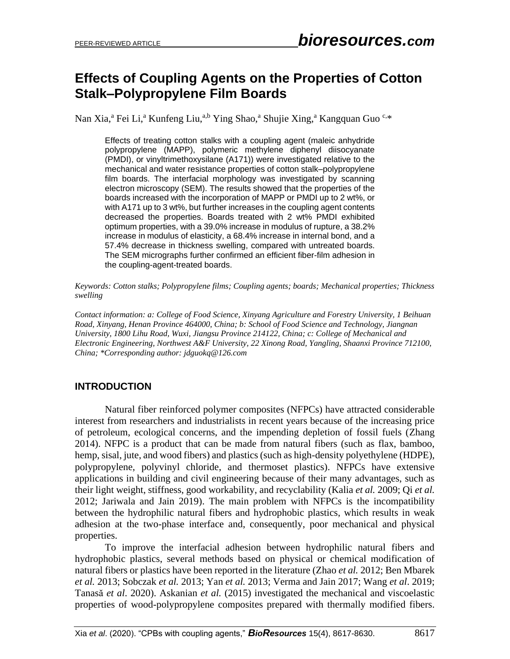# **Effects of Coupling Agents on the Properties of Cotton Stalk–Polypropylene Film Boards**

Nan Xia,<sup>a</sup> Fei Li,<sup>a</sup> Kunfeng Liu,<sup>a,b</sup> Ying Shao,<sup>a</sup> Shujie Xing,<sup>a</sup> Kangquan Guo C,\*

Effects of treating cotton stalks with a coupling agent (maleic anhydride polypropylene (MAPP), polymeric methylene diphenyl diisocyanate (PMDI), or vinyltrimethoxysilane (A171)) were investigated relative to the mechanical and water resistance properties of cotton stalk–polypropylene film boards. The interfacial morphology was investigated by scanning electron microscopy (SEM). The results showed that the properties of the boards increased with the incorporation of MAPP or PMDI up to 2 wt%, or with A171 up to 3 wt%, but further increases in the coupling agent contents decreased the properties. Boards treated with 2 wt% PMDI exhibited optimum properties, with a 39.0% increase in modulus of rupture, a 38.2% increase in modulus of elasticity, a 68.4% increase in internal bond, and a 57.4% decrease in thickness swelling, compared with untreated boards. The SEM micrographs further confirmed an efficient fiber-film adhesion in the coupling-agent-treated boards.

*Keywords: Cotton stalks; Polypropylene films; Coupling agents; boards; Mechanical properties; Thickness swelling*

*Contact information: a: College of Food Science, Xinyang Agriculture and Forestry University, 1 Beihuan Road, Xinyang, Henan Province 464000, China; b: School of Food Science and Technology, Jiangnan University, 1800 Lihu Road, Wuxi, Jiangsu Province 214122, China; c: College of Mechanical and Electronic Engineering, Northwest A&F University, 22 Xinong Road, Yangling, Shaanxi Province 712100, China; \*Corresponding author: jdguokq@126.com*

# **INTRODUCTION**

Natural fiber reinforced polymer composites (NFPCs) have attracted considerable interest from researchers and industrialists in recent years because of the increasing price of petroleum, ecological concerns, and the impending depletion of fossil fuels (Zhang 2014). NFPC is a product that can be made from natural fibers (such as flax, bamboo, hemp, sisal, jute, and wood fibers) and plastics (such as high-density polyethylene (HDPE), polypropylene, polyvinyl chloride, and thermoset plastics). NFPCs have extensive applications in building and civil engineering because of their many advantages, such as their light weight, stiffness, good workability, and recyclability (Kalia *et al.* 2009; Qi *et al.* 2012; Jariwala and Jain 2019). The main problem with NFPCs is the incompatibility between the hydrophilic natural fibers and hydrophobic plastics, which results in weak adhesion at the two-phase interface and, consequently, poor mechanical and physical properties.

To improve the interfacial adhesion between hydrophilic natural fibers and hydrophobic plastics, several methods based on physical or chemical modification of natural fibers or plastics have been reported in the literature (Zhao *et al.* 2012; Ben Mbarek *et al.* 2013; Sobczak *et al.* 2013; Yan *et al.* 2013; Verma and Jain 2017; Wang *et al*. 2019; Tanasă *et al*. 2020). Askanian *et al.* (2015) investigated the mechanical and viscoelastic properties of wood-polypropylene composites prepared with thermally modified fibers.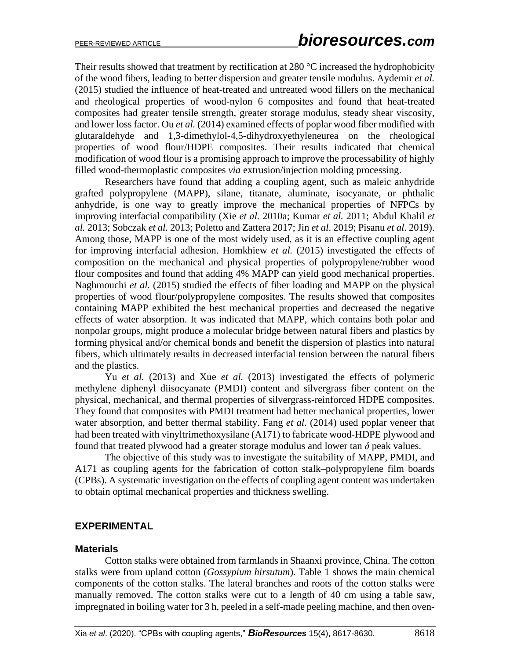Their results showed that treatment by rectification at 280 °C increased the hydrophobicity of the wood fibers, leading to better dispersion and greater tensile modulus. Aydemir *et al.* (2015) studied the influence of heat-treated and untreated wood fillers on the mechanical and rheological properties of wood-nylon 6 composites and found that heat-treated composites had greater tensile strength, greater storage modulus, steady shear viscosity, and lower loss factor. Ou *et al.* (2014) examined effects of poplar wood fiber modified with glutaraldehyde and 1,3-dimethylol-4,5-dihydroxyethyleneurea on the rheological properties of wood flour/HDPE composites. Their results indicated that chemical modification of wood flour is a promising approach to improve the processability of highly filled wood-thermoplastic composites *via* extrusion/injection molding processing.

Researchers have found that adding a coupling agent, such as maleic anhydride grafted polypropylene (MAPP), silane, titanate, aluminate, isocyanate, or phthalic anhydride, is one way to greatly improve the mechanical properties of NFPCs by improving interfacial compatibility (Xie *et al.* 2010a; Kumar *et al.* 2011; Abdul Khalil *et al.* 2013; Sobczak *et al.* 2013; Poletto and Zattera 2017; Jin *et al*. 2019; Pisanu *et al*. 2019). Among those, MAPP is one of the most widely used, as it is an effective coupling agent for improving interfacial adhesion. Homkhiew *et al.* (2015) investigated the effects of composition on the mechanical and physical properties of polypropylene/rubber wood flour composites and found that adding 4% MAPP can yield good mechanical properties. Naghmouchi *et al.* (2015) studied the effects of fiber loading and MAPP on the physical properties of wood flour/polypropylene composites. The results showed that composites containing MAPP exhibited the best mechanical properties and decreased the negative effects of water absorption. It was indicated that MAPP, which contains both polar and nonpolar groups, might produce a molecular bridge between natural fibers and plastics by forming physical and/or chemical bonds and benefit the dispersion of plastics into natural fibers, which ultimately results in decreased interfacial tension between the natural fibers and the plastics.

Yu *et al.* (2013) and Xue *et al.* (2013) investigated the effects of polymeric methylene diphenyl diisocyanate (PMDI) content and silvergrass fiber content on the physical, mechanical, and thermal properties of silvergrass-reinforced HDPE composites. They found that composites with PMDI treatment had better mechanical properties, lower water absorption, and better thermal stability. Fang *et al.* (2014) used poplar veneer that had been treated with vinyltrimethoxysilane (A171) to fabricate wood-HDPE plywood and found that treated plywood had a greater storage modulus and lower tan  $\delta$  peak values.

The objective of this study was to investigate the suitability of MAPP, PMDI, and A171 as coupling agents for the fabrication of cotton stalk–polypropylene film boards (CPBs). A systematic investigation on the effects of coupling agent content was undertaken to obtain optimal mechanical properties and thickness swelling.

## **EXPERIMENTAL**

#### **Materials**

Cotton stalks were obtained from farmlands in Shaanxi province, China. The cotton stalks were from upland cotton (*Gossypium hirsutum*). Table 1 shows the main chemical components of the cotton stalks. The lateral branches and roots of the cotton stalks were manually removed. The cotton stalks were cut to a length of 40 cm using a table saw, impregnated in boiling water for 3 h, peeled in a self-made peeling machine, and then oven-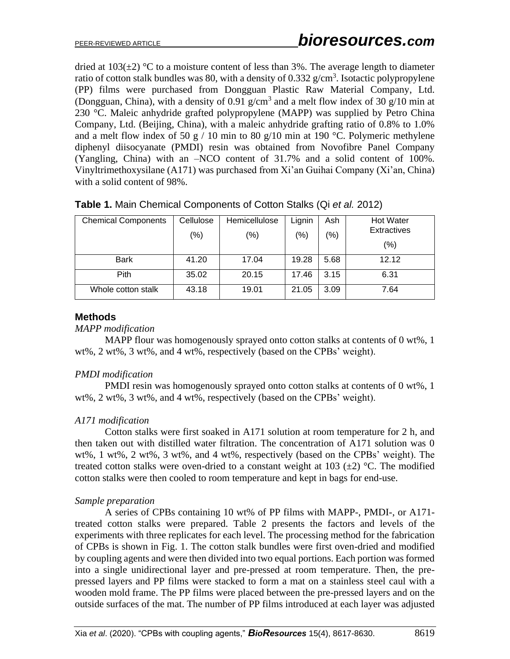dried at  $103(\pm 2)$  °C to a moisture content of less than 3%. The average length to diameter ratio of cotton stalk bundles was 80, with a density of  $0.332$  g/cm<sup>3</sup>. Isotactic polypropylene (PP) films were purchased from Dongguan Plastic Raw Material Company, Ltd. (Dongguan, China), with a density of 0.91  $g/cm<sup>3</sup>$  and a melt flow index of 30  $g/10$  min at 230 °C. Maleic anhydride grafted polypropylene (MAPP) was supplied by Petro China Company, Ltd. (Beijing, China), with a maleic anhydride grafting ratio of 0.8% to 1.0% and a melt flow index of 50 g  $/$  10 min to 80 g $/10$  min at 190 °C. Polymeric methylene diphenyl diisocyanate (PMDI) resin was obtained from Novofibre Panel Company (Yangling, China) with an –NCO content of 31.7% and a solid content of 100%. Vinyltrimethoxysilane (A171) was purchased from Xi'an Guihai Company (Xi'an, China) with a solid content of 98%.

| <b>Chemical Components</b> | Cellulose<br>$(\%)$ | Hemicellulose<br>(% ) | Lignin<br>$(\% )$ | Ash<br>$\frac{1}{2}$ | <b>Hot Water</b><br>Extractives<br>(%) |
|----------------------------|---------------------|-----------------------|-------------------|----------------------|----------------------------------------|
| <b>Bark</b>                | 41.20               | 17.04                 | 19.28             | 5.68                 | 12.12                                  |
| Pith                       | 35.02               | 20.15                 | 17.46             | 3.15                 | 6.31                                   |
| Whole cotton stalk         | 43.18               | 19.01                 | 21.05             | 3.09                 | 7.64                                   |

**Table 1.** Main Chemical Components of Cotton Stalks (Qi *et al.* 2012)

### **Methods**

*MAPP modification*

MAPP flour was homogenously sprayed onto cotton stalks at contents of 0 wt%, 1 wt%, 2 wt%, 3 wt%, and 4 wt%, respectively (based on the CPBs' weight).

#### *PMDI modification*

PMDI resin was homogenously sprayed onto cotton stalks at contents of 0 wt%, 1 wt%, 2 wt%, 3 wt%, and 4 wt%, respectively (based on the CPBs' weight).

## *A171 modification*

Cotton stalks were first soaked in A171 solution at room temperature for 2 h, and then taken out with distilled water filtration. The concentration of A171 solution was 0 wt%, 1 wt%, 2 wt%, 3 wt%, and 4 wt%, respectively (based on the CPBs' weight). The treated cotton stalks were oven-dried to a constant weight at 103  $(\pm 2)$  °C. The modified cotton stalks were then cooled to room temperature and kept in bags for end-use.

## *Sample preparation*

A series of CPBs containing 10 wt% of PP films with MAPP-, PMDI-, or A171 treated cotton stalks were prepared. Table 2 presents the factors and levels of the experiments with three replicates for each level. The processing method for the fabrication of CPBs is shown in Fig. 1. The cotton stalk bundles were first oven-dried and modified by coupling agents and were then divided into two equal portions. Each portion was formed into a single unidirectional layer and pre-pressed at room temperature. Then, the prepressed layers and PP films were stacked to form a mat on a stainless steel caul with a wooden mold frame. The PP films were placed between the pre-pressed layers and on the outside surfaces of the mat. The number of PP films introduced at each layer was adjusted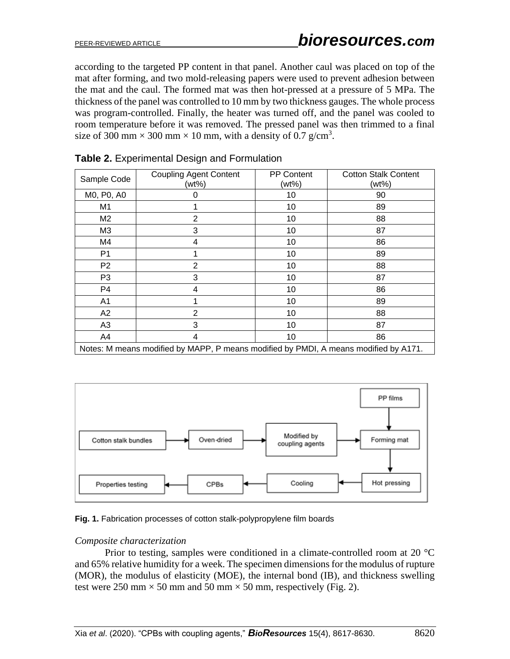according to the targeted PP content in that panel. Another caul was placed on top of the mat after forming, and two mold-releasing papers were used to prevent adhesion between the mat and the caul. The formed mat was then hot-pressed at a pressure of 5 MPa. The thickness of the panel was controlled to 10 mm by two thickness gauges. The whole process was program-controlled. Finally, the heater was turned off, and the panel was cooled to room temperature before it was removed. The pressed panel was then trimmed to a final size of 300 mm  $\times$  300 mm  $\times$  10 mm, with a density of 0.7 g/cm<sup>3</sup>.

| Sample Code                                                                          | <b>Coupling Agent Content</b><br>(wt%) | <b>PP Content</b><br>(wt%) | <b>Cotton Stalk Content</b><br>(wt%) |  |  |  |  |
|--------------------------------------------------------------------------------------|----------------------------------------|----------------------------|--------------------------------------|--|--|--|--|
| M0, P0, A0                                                                           | 0                                      | 10                         | 90                                   |  |  |  |  |
| M <sub>1</sub>                                                                       |                                        | 10                         | 89                                   |  |  |  |  |
| M <sub>2</sub>                                                                       | 2                                      | 10                         | 88                                   |  |  |  |  |
| M <sub>3</sub>                                                                       | 3                                      | 10                         | 87                                   |  |  |  |  |
| M4                                                                                   | 4                                      | 10                         | 86                                   |  |  |  |  |
| P <sub>1</sub>                                                                       |                                        | 10                         | 89                                   |  |  |  |  |
| P <sub>2</sub>                                                                       | 2                                      | 10                         | 88                                   |  |  |  |  |
| P <sub>3</sub>                                                                       | 3                                      | 10                         | 87                                   |  |  |  |  |
| P <sub>4</sub>                                                                       | 4                                      | 10                         | 86                                   |  |  |  |  |
| A <sub>1</sub>                                                                       |                                        | 10                         | 89                                   |  |  |  |  |
| A2                                                                                   | 2                                      | 10                         | 88                                   |  |  |  |  |
| A <sub>3</sub>                                                                       | 3                                      | 10                         | 87                                   |  |  |  |  |
| A4                                                                                   | 4                                      | 10                         | 86                                   |  |  |  |  |
| Notes: M means modified by MAPP, P means modified by PMDI, A means modified by A171. |                                        |                            |                                      |  |  |  |  |

# **Table 2.** Experimental Design and Formulation



#### **Fig. 1.** Fabrication processes of cotton stalk-polypropylene film boards

#### *Composite characterization*

Prior to testing, samples were conditioned in a climate-controlled room at 20 °C and 65% relative humidity for a week. The specimen dimensions for the modulus of rupture (MOR), the modulus of elasticity (MOE), the internal bond (IB), and thickness swelling test were 250 mm  $\times$  50 mm and 50 mm  $\times$  50 mm, respectively (Fig. 2).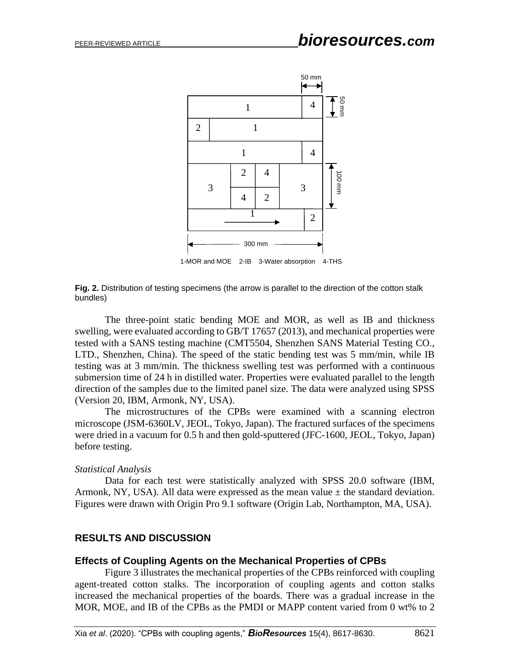

**Fig. 2.** Distribution of testing specimens (the arrow is parallel to the direction of the cotton stalk bundles)

The three-point static bending MOE and MOR, as well as IB and thickness swelling, were evaluated according to GB/T 17657 (2013), and mechanical properties were tested with a SANS testing machine (CMT5504, Shenzhen SANS Material Testing CO., LTD., Shenzhen, China). The speed of the static bending test was 5 mm/min, while IB testing was at 3 mm/min. The thickness swelling test was performed with a continuous submersion time of 24 h in distilled water. Properties were evaluated parallel to the length direction of the samples due to the limited panel size. The data were analyzed using SPSS (Version 20, IBM, Armonk, NY, USA).

The microstructures of the CPBs were examined with a scanning electron microscope (JSM-6360LV, JEOL, Tokyo, Japan). The fractured surfaces of the specimens were dried in a vacuum for 0.5 h and then gold-sputtered (JFC-1600, JEOL, Tokyo, Japan) before testing.

#### *Statistical Analysis*

Data for each test were statistically analyzed with SPSS 20.0 software (IBM, Armonk, NY, USA). All data were expressed as the mean value  $\pm$  the standard deviation. Figures were drawn with Origin Pro 9.1 software (Origin Lab, Northampton, MA, USA).

#### **RESULTS AND DISCUSSION**

#### **Effects of Coupling Agents on the Mechanical Properties of CPBs**

Figure 3 illustrates the mechanical properties of the CPBs reinforced with coupling agent-treated cotton stalks. The incorporation of coupling agents and cotton stalks increased the mechanical properties of the boards. There was a gradual increase in the MOR, MOE, and IB of the CPBs as the PMDI or MAPP content varied from 0 wt% to 2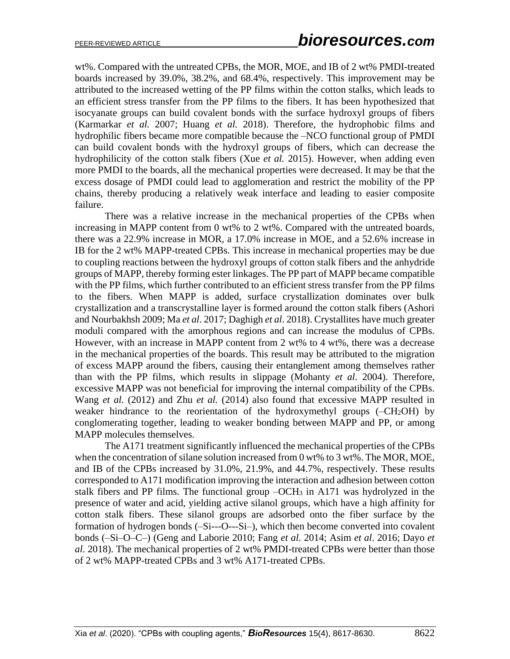wt%. Compared with the untreated CPBs, the MOR, MOE, and IB of 2 wt% PMDI-treated boards increased by 39.0%, 38.2%, and 68.4%, respectively. This improvement may be attributed to the increased wetting of the PP films within the cotton stalks, which leads to an efficient stress transfer from the PP films to the fibers. It has been hypothesized that isocyanate groups can build covalent bonds with the surface hydroxyl groups of fibers (Karmarkar *et al.* 2007; Huang *et al.* 2018). Therefore, the hydrophobic films and hydrophilic fibers became more compatible because the –NCO functional group of PMDI can build covalent bonds with the hydroxyl groups of fibers, which can decrease the hydrophilicity of the cotton stalk fibers (Xue *et al.* 2015). However, when adding even more PMDI to the boards, all the mechanical properties were decreased. It may be that the excess dosage of PMDI could lead to agglomeration and restrict the mobility of the PP chains, thereby producing a relatively weak interface and leading to easier composite failure.

There was a relative increase in the mechanical properties of the CPBs when increasing in MAPP content from 0 wt% to 2 wt%. Compared with the untreated boards, there was a 22.9% increase in MOR, a 17.0% increase in MOE, and a 52.6% increase in IB for the 2 wt% MAPP-treated CPBs. This increase in mechanical properties may be due to coupling reactions between the hydroxyl groups of cotton stalk fibers and the anhydride groups of MAPP, thereby forming ester linkages. The PP part of MAPP became compatible with the PP films, which further contributed to an efficient stress transfer from the PP films to the fibers. When MAPP is added, surface crystallization dominates over bulk crystallization and a transcrystalline layer is formed around the cotton stalk fibers (Ashori and Nourbakhsh 2009; Ma *et al*. 2017; Daghigh *et al*. 2018). Crystallites have much greater moduli compared with the amorphous regions and can increase the modulus of CPBs. However, with an increase in MAPP content from 2 wt% to 4 wt%, there was a decrease in the mechanical properties of the boards. This result may be attributed to the migration of excess MAPP around the fibers, causing their entanglement among themselves rather than with the PP films, which results in slippage (Mohanty *et al*. 2004). Therefore, excessive MAPP was not beneficial for improving the internal compatibility of the CPBs. Wang *et al.* (2012) and Zhu *et al.* (2014) also found that excessive MAPP resulted in weaker hindrance to the reorientation of the hydroxymethyl groups  $(-CH<sub>2</sub>OH)$  by conglomerating together, leading to weaker bonding between MAPP and PP, or among MAPP molecules themselves.

The A171 treatment significantly influenced the mechanical properties of the CPBs when the concentration of silane solution increased from 0 wt% to 3 wt%. The MOR, MOE, and IB of the CPBs increased by 31.0%, 21.9%, and 44.7%, respectively. These results corresponded to A171 modification improving the interaction and adhesion between cotton stalk fibers and PP films. The functional group –OCH<sup>3</sup> in A171 was hydrolyzed in the presence of water and acid, yielding active silanol groups, which have a high affinity for cotton stalk fibers. These silanol groups are adsorbed onto the fiber surface by the formation of hydrogen bonds (-Si---O---Si-), which then become converted into covalent bonds (–Si–O–C–) (Geng and Laborie 2010; Fang *et al.* 2014; Asim *et al*. 2016; Dayo *et al*. 2018). The mechanical properties of 2 wt% PMDI-treated CPBs were better than those of 2 wt% MAPP-treated CPBs and 3 wt% A171-treated CPBs.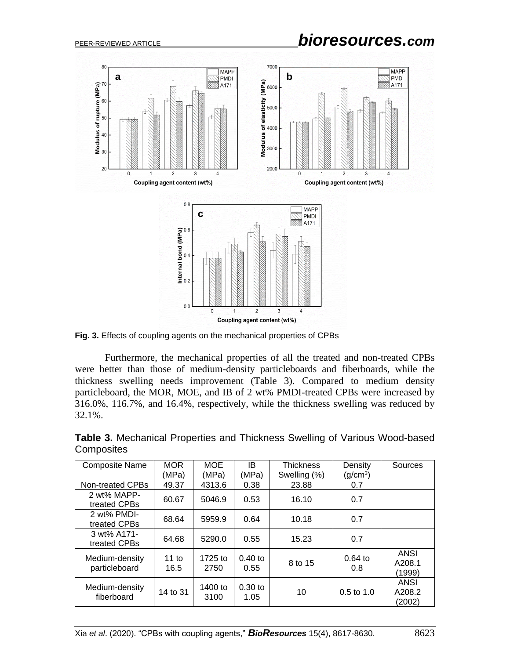

**Fig. 3.** Effects of coupling agents on the mechanical properties of CPBs

Furthermore, the mechanical properties of all the treated and non-treated CPBs were better than those of medium-density particleboards and fiberboards, while the thickness swelling needs improvement (Table 3). Compared to medium density particleboard, the MOR, MOE, and IB of 2 wt% PMDI-treated CPBs were increased by 316.0%, 116.7%, and 16.4%, respectively, while the thickness swelling was reduced by 32.1%.

| <b>Composite Name</b>           | <b>MOR</b><br>(MPa) | <b>MOE</b><br>(MPa) | IB.<br>(MPa)      | <b>Thickness</b><br>Swelling (%) | Density<br>(g/cm <sup>3</sup> ) | Sources                         |  |
|---------------------------------|---------------------|---------------------|-------------------|----------------------------------|---------------------------------|---------------------------------|--|
| Non-treated CPBs                | 49.37               | 4313.6              | 0.38              | 23.88                            | 0.7                             |                                 |  |
| 2 wt% MAPP-<br>treated CPBs     | 60.67               | 5046.9              | 0.53              | 16.10                            | 0.7                             |                                 |  |
| 2 wt% PMDI-<br>treated CPBs     | 68.64               | 5959.9              | 0.64              | 10.18                            | 0.7                             |                                 |  |
| 3 wt% A171-<br>treated CPBs     | 64.68               | 5290.0              | 0.55              | 15.23                            | 0.7                             |                                 |  |
| Medium-density<br>particleboard | 11 to<br>16.5       | 1725 to<br>2750     | $0.40$ to<br>0.55 | 8 to 15                          | $0.64$ to<br>0.8                | <b>ANSI</b><br>A208.1<br>(1999) |  |
| Medium-density<br>fiberboard    | 14 to 31            | 1400 to<br>3100     | $0.30$ to<br>1.05 | $0.5 \text{ to } 1.0$<br>10      |                                 | ANSI<br>A208.2<br>(2002)        |  |

**Table 3.** Mechanical Properties and Thickness Swelling of Various Wood-based **Composites**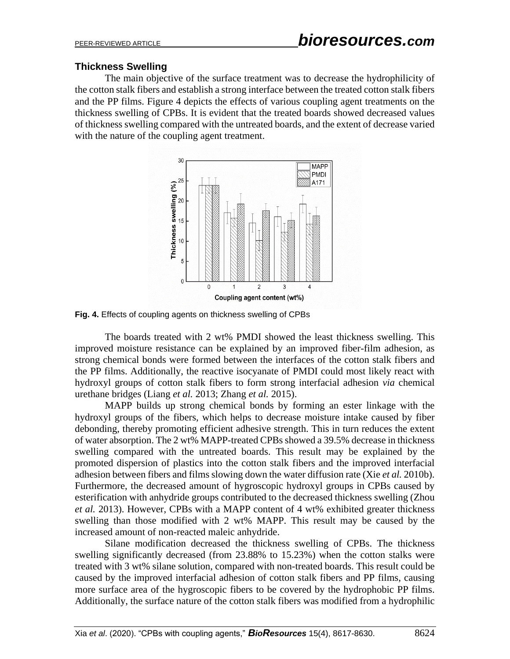## **Thickness Swelling**

The main objective of the surface treatment was to decrease the hydrophilicity of the cotton stalk fibers and establish a strong interface between the treated cotton stalk fibers and the PP films. Figure 4 depicts the effects of various coupling agent treatments on the thickness swelling of CPBs. It is evident that the treated boards showed decreased values of thickness swelling compared with the untreated boards, and the extent of decrease varied with the nature of the coupling agent treatment.



**Fig. 4.** Effects of coupling agents on thickness swelling of CPBs

The boards treated with 2 wt% PMDI showed the least thickness swelling. This improved moisture resistance can be explained by an improved fiber-film adhesion, as strong chemical bonds were formed between the interfaces of the cotton stalk fibers and the PP films. Additionally, the reactive isocyanate of PMDI could most likely react with hydroxyl groups of cotton stalk fibers to form strong interfacial adhesion *via* chemical urethane bridges (Liang *et al.* 2013; Zhang *et al.* 2015).

MAPP builds up strong chemical bonds by forming an ester linkage with the hydroxyl groups of the fibers, which helps to decrease moisture intake caused by fiber debonding, thereby promoting efficient adhesive strength. This in turn reduces the extent of water absorption. The 2 wt% MAPP-treated CPBs showed a 39.5% decrease in thickness swelling compared with the untreated boards. This result may be explained by the promoted dispersion of plastics into the cotton stalk fibers and the improved interfacial adhesion between fibers and films slowing down the water diffusion rate (Xie *et al.* 2010b). Furthermore, the decreased amount of hygroscopic hydroxyl groups in CPBs caused by esterification with anhydride groups contributed to the decreased thickness swelling (Zhou *et al.* 2013). However, CPBs with a MAPP content of 4 wt% exhibited greater thickness swelling than those modified with 2 wt% MAPP. This result may be caused by the increased amount of non-reacted maleic anhydride.

Silane modification decreased the thickness swelling of CPBs. The thickness swelling significantly decreased (from 23.88% to 15.23%) when the cotton stalks were treated with 3 wt% silane solution, compared with non-treated boards. This result could be caused by the improved interfacial adhesion of cotton stalk fibers and PP films, causing more surface area of the hygroscopic fibers to be covered by the hydrophobic PP films. Additionally, the surface nature of the cotton stalk fibers was modified from a hydrophilic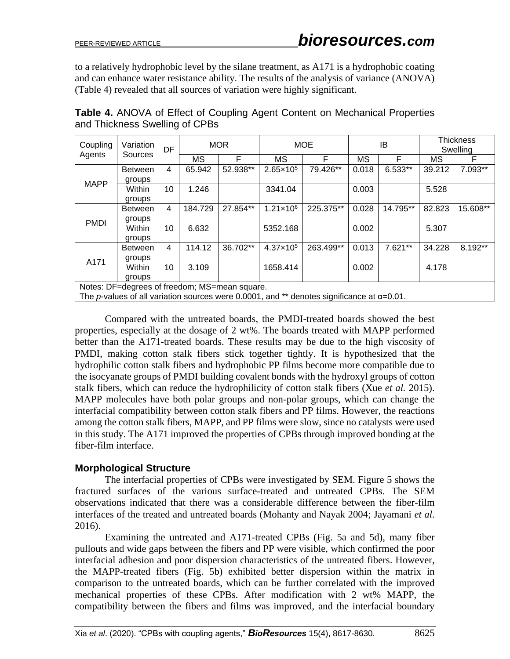to a relatively hydrophobic level by the silane treatment, as A171 is a hydrophobic coating and can enhance water resistance ability. The results of the analysis of variance (ANOVA) (Table 4) revealed that all sources of variation were highly significant.

| <b>Table 4.</b> ANOVA of Effect of Coupling Agent Content on Mechanical Properties |  |  |
|------------------------------------------------------------------------------------|--|--|
| and Thickness Swelling of CPBs                                                     |  |  |

| Coupling<br>Agents                                                                                                                                                                                                    | Variation<br>Sources | DF | <b>MOR</b> |          | <b>MOE</b>           |           | IB        |          | <b>Thickness</b><br>Swelling |          |
|-----------------------------------------------------------------------------------------------------------------------------------------------------------------------------------------------------------------------|----------------------|----|------------|----------|----------------------|-----------|-----------|----------|------------------------------|----------|
|                                                                                                                                                                                                                       |                      |    | ΜS         | F        | МS                   | F         | <b>MS</b> | F        | МS                           | F        |
| <b>MAPP</b>                                                                                                                                                                                                           | <b>Between</b>       | 4  | 65.942     | 52.938** | $2.65 \times 10^5$   | 79.426**  | 0.018     | 6.533**  | 39.212                       | 7.093**  |
|                                                                                                                                                                                                                       | groups               |    |            |          |                      |           |           |          |                              |          |
|                                                                                                                                                                                                                       | Within               | 10 | 1.246      |          | 3341.04              |           | 0.003     |          | 5.528                        |          |
|                                                                                                                                                                                                                       | groups               |    |            |          |                      |           |           |          |                              |          |
| <b>PMDI</b>                                                                                                                                                                                                           | <b>Between</b>       | 4  | 184.729    | 27.854** | $1.21 \times 10^6$   | 225.375** | 0.028     | 14.795** | 82.823                       | 15.608** |
|                                                                                                                                                                                                                       | groups               |    |            |          |                      |           |           |          |                              |          |
|                                                                                                                                                                                                                       | Within               | 10 | 6.632      |          | 5352.168             |           | 0.002     |          | 5.307                        |          |
|                                                                                                                                                                                                                       | groups               |    |            |          |                      |           |           |          |                              |          |
| A171                                                                                                                                                                                                                  | <b>Between</b>       | 4  | 114.12     | 36.702** | $4.37 \times 10^{5}$ | 263.499** | 0.013     | 7.621**  | 34.228                       | 8.192**  |
|                                                                                                                                                                                                                       | groups               |    |            |          |                      |           |           |          |                              |          |
|                                                                                                                                                                                                                       | Within               | 10 | 3.109      |          | 1658.414             |           | 0.002     |          | 4.178                        |          |
|                                                                                                                                                                                                                       | groups               |    |            |          |                      |           |           |          |                              |          |
| Notes: DF=degrees of freedom; MS=mean square.<br>$\mathbf{r}$ and $\mathbf{r}$ are all $\mathbf{r}$ and $\mathbf{r}$ are all $\mathbf{r}$ and $\mathbf{r}$ are all $\mathbf{r}$<br>$\sim$ $\sim$ $\sim$ $\sim$ $\sim$ |                      |    |            |          |                      |           |           |          |                              |          |

The *p*-values of all variation sources were 0.0001, and \*\* denotes significance at α=0.01.

Compared with the untreated boards, the PMDI-treated boards showed the best properties, especially at the dosage of 2 wt%. The boards treated with MAPP performed better than the A171-treated boards. These results may be due to the high viscosity of PMDI, making cotton stalk fibers stick together tightly. It is hypothesized that the hydrophilic cotton stalk fibers and hydrophobic PP films become more compatible due to the isocyanate groups of PMDI building covalent bonds with the hydroxyl groups of cotton stalk fibers, which can reduce the hydrophilicity of cotton stalk fibers (Xue *et al.* 2015). MAPP molecules have both polar groups and non-polar groups, which can change the interfacial compatibility between cotton stalk fibers and PP films. However, the reactions among the cotton stalk fibers, MAPP, and PP films were slow, since no catalysts were used in this study. The A171 improved the properties of CPBs through improved bonding at the fiber-film interface.

## **Morphological Structure**

The interfacial properties of CPBs were investigated by SEM. Figure 5 shows the fractured surfaces of the various surface-treated and untreated CPBs. The SEM observations indicated that there was a considerable difference between the fiber-film interfaces of the treated and untreated boards (Mohanty and Nayak 2004; Jayamani *et al*. 2016).

Examining the untreated and A171-treated CPBs (Fig. 5a and 5d), many fiber pullouts and wide gaps between the fibers and PP were visible, which confirmed the poor interfacial adhesion and poor dispersion characteristics of the untreated fibers. However, the MAPP-treated fibers (Fig. 5b) exhibited better dispersion within the matrix in comparison to the untreated boards, which can be further correlated with the improved mechanical properties of these CPBs. After modification with 2 wt% MAPP, the compatibility between the fibers and films was improved, and the interfacial boundary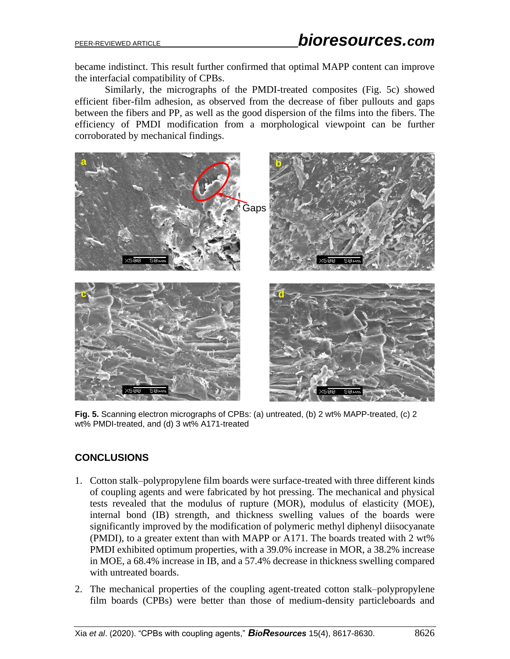became indistinct. This result further confirmed that optimal MAPP content can improve the interfacial compatibility of CPBs.

Similarly, the micrographs of the PMDI-treated composites (Fig. 5c) showed efficient fiber-film adhesion, as observed from the decrease of fiber pullouts and gaps between the fibers and PP, as well as the good dispersion of the films into the fibers. The efficiency of PMDI modification from a morphological viewpoint can be further corroborated by mechanical findings.



**Fig. 5.** Scanning electron micrographs of CPBs: (a) untreated, (b) 2 wt% MAPP-treated, (c) 2 wt% PMDI-treated, and (d) 3 wt% A171-treated

# **CONCLUSIONS**

- 1. Cotton stalk–polypropylene film boards were surface-treated with three different kinds of coupling agents and were fabricated by hot pressing. The mechanical and physical tests revealed that the modulus of rupture (MOR), modulus of elasticity (MOE), internal bond (IB) strength, and thickness swelling values of the boards were significantly improved by the modification of polymeric methyl diphenyl diisocyanate (PMDI), to a greater extent than with MAPP or A171. The boards treated with 2 wt% PMDI exhibited optimum properties, with a 39.0% increase in MOR, a 38.2% increase in MOE, a 68.4% increase in IB, and a 57.4% decrease in thickness swelling compared with untreated boards.
- 2. The mechanical properties of the coupling agent-treated cotton stalk–polypropylene film boards (CPBs) were better than those of medium-density particleboards and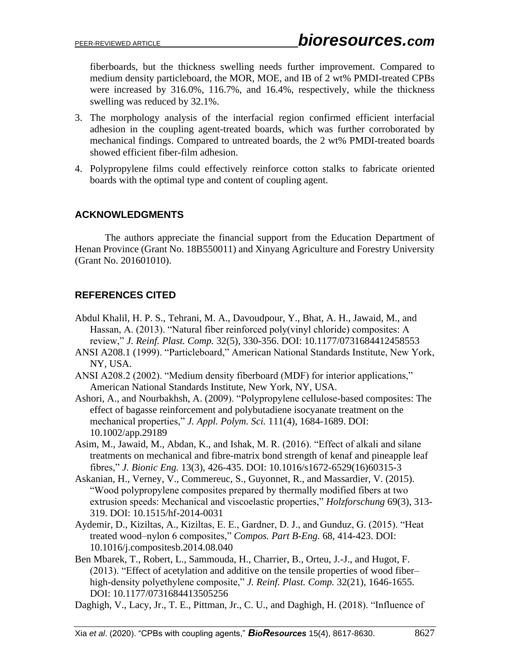fiberboards, but the thickness swelling needs further improvement. Compared to medium density particleboard, the MOR, MOE, and IB of 2 wt% PMDI-treated CPBs were increased by 316.0%, 116.7%, and 16.4%, respectively, while the thickness swelling was reduced by 32.1%.

- 3. The morphology analysis of the interfacial region confirmed efficient interfacial adhesion in the coupling agent-treated boards, which was further corroborated by mechanical findings. Compared to untreated boards, the 2 wt% PMDI-treated boards showed efficient fiber-film adhesion.
- 4. Polypropylene films could effectively reinforce cotton stalks to fabricate oriented boards with the optimal type and content of coupling agent.

# **ACKNOWLEDGMENTS**

The authors appreciate the financial support from the Education Department of Henan Province (Grant No. 18B550011) and Xinyang Agriculture and Forestry University (Grant No. 201601010).

# **REFERENCES CITED**

- Abdul Khalil, H. P. S., Tehrani, M. A., Davoudpour, Y., Bhat, A. H., Jawaid, M., and Hassan, A. (2013). "Natural fiber reinforced poly(vinyl chloride) composites: A review," *J. Reinf. Plast. Comp.* 32(5), 330-356. DOI: 10.1177/0731684412458553
- ANSI A208.1 (1999). "Particleboard," American National Standards Institute, New York, NY, USA.
- ANSI A208.2 (2002). "Medium density fiberboard (MDF) for interior applications," American National Standards Institute, New York, NY, USA.
- Ashori, A., and Nourbakhsh, A. (2009). "Polypropylene cellulose-based composites: The effect of bagasse reinforcement and polybutadiene isocyanate treatment on the mechanical properties," *J. Appl. Polym. Sci.* 111(4), 1684-1689. DOI: 10.1002/app.29189
- Asim, M., Jawaid, M., Abdan, K., and Ishak, M. R. (2016). "Effect of alkali and silane treatments on mechanical and fibre-matrix bond strength of kenaf and pineapple leaf fibres," *J. Bionic Eng.* 13(3), 426-435. DOI: 10.1016/s1672-6529(16)60315-3
- Askanian, H., Verney, V., Commereuc, S., Guyonnet, R., and Massardier, V. (2015). "Wood polypropylene composites prepared by thermally modified fibers at two extrusion speeds: Mechanical and viscoelastic properties," *Holzforschung* 69(3), 313- 319. DOI: 10.1515/hf-2014-0031
- Aydemir, D., Kiziltas, A., Kiziltas, E. E., Gardner, D. J., and Gunduz, G. (2015). "Heat treated wood–nylon 6 composites," *Compos. Part B-Eng.* 68, 414-423. DOI: 10.1016/j.compositesb.2014.08.040
- Ben Mbarek, T., Robert, L., Sammouda, H., Charrier, B., Orteu, J.-J., and Hugot, F. (2013). "Effect of acetylation and additive on the tensile properties of wood fiber– high-density polyethylene composite," *J. Reinf. Plast. Comp.* 32(21), 1646-1655. DOI: 10.1177/0731684413505256

Daghigh, V., Lacy, Jr., T. E., Pittman, Jr., C. U., and Daghigh, H. (2018). "Influence of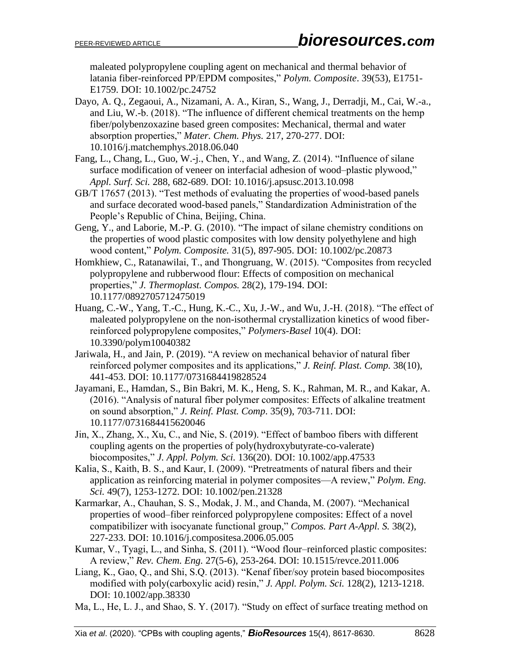maleated polypropylene coupling agent on mechanical and thermal behavior of latania fiber-reinforced PP/EPDM composites," *Polym. Composite*. 39(53), E1751- E1759. DOI: 10.1002/pc.24752

- Dayo, A. Q., Zegaoui, A., Nizamani, A. A., Kiran, S., Wang, J., Derradji, M., Cai, W.-a., and Liu, W.-b. (2018). "The influence of different chemical treatments on the hemp fiber/polybenzoxazine based green composites: Mechanical, thermal and water absorption properties," *Mater. Chem. Phys.* 217, 270-277. DOI: 10.1016/j.matchemphys.2018.06.040
- Fang, L., Chang, L., Guo, W.-j., Chen, Y., and Wang, Z. (2014). "Influence of silane surface modification of veneer on interfacial adhesion of wood–plastic plywood," *Appl. Surf. Sci.* 288, 682-689. DOI: 10.1016/j.apsusc.2013.10.098
- GB/T 17657 (2013). "Test methods of evaluating the properties of wood-based panels and surface decorated wood-based panels," Standardization Administration of the People's Republic of China, Beijing, China.
- Geng, Y., and Laborie, M.-P. G. (2010). "The impact of silane chemistry conditions on the properties of wood plastic composites with low density polyethylene and high wood content," *Polym. Composite.* 31(5), 897-905. DOI: 10.1002/pc.20873
- Homkhiew, C., Ratanawilai, T., and Thongruang, W. (2015). "Composites from recycled polypropylene and rubberwood flour: Effects of composition on mechanical properties," *J. Thermoplast. Compos.* 28(2), 179-194. DOI: 10.1177/0892705712475019
- Huang, C.-W., Yang, T.-C., Hung, K.-C., Xu, J.-W., and Wu, J.-H. (2018). "The effect of maleated polypropylene on the non-isothermal crystallization kinetics of wood fiberreinforced polypropylene composites," *Polymers-Basel* 10(4). DOI: 10.3390/polym10040382
- Jariwala, H., and Jain, P. (2019). "A review on mechanical behavior of natural fiber reinforced polymer composites and its applications," *J. Reinf. Plast. Comp.* 38(10), 441-453. DOI: 10.1177/0731684419828524
- Jayamani, E., Hamdan, S., Bin Bakri, M. K., Heng, S. K., Rahman, M. R., and Kakar, A. (2016). "Analysis of natural fiber polymer composites: Effects of alkaline treatment on sound absorption," *J. Reinf. Plast. Comp*. 35(9), 703-711. DOI: 10.1177/0731684415620046
- Jin, X., Zhang, X., Xu, C., and Nie, S. (2019). "Effect of bamboo fibers with different coupling agents on the properties of poly(hydroxybutyrate-co-valerate) biocomposites," *J. Appl. Polym. Sci.* 136(20). DOI: 10.1002/app.47533
- Kalia, S., Kaith, B. S., and Kaur, I. (2009). "Pretreatments of natural fibers and their application as reinforcing material in polymer composites—A review," *Polym. Eng. Sci.* 49(7), 1253-1272. DOI: 10.1002/pen.21328
- Karmarkar, A., Chauhan, S. S., Modak, J. M., and Chanda, M. (2007). "Mechanical properties of wood–fiber reinforced polypropylene composites: Effect of a novel compatibilizer with isocyanate functional group," *Compos. Part A-Appl. S.* 38(2), 227-233. DOI: 10.1016/j.compositesa.2006.05.005
- Kumar, V., Tyagi, L., and Sinha, S. (2011). "Wood flour–reinforced plastic composites: A review," *Rev. Chem. Eng.* 27(5-6), 253-264. DOI: 10.1515/revce.2011.006
- Liang, K., Gao, Q., and Shi, S.Q. (2013). "Kenaf fiber/soy protein based biocomposites modified with poly(carboxylic acid) resin," *J. Appl. Polym. Sci.* 128(2), 1213-1218. DOI: 10.1002/app.38330
- Ma, L., He, L. J., and Shao, S. Y. (2017). "Study on effect of surface treating method on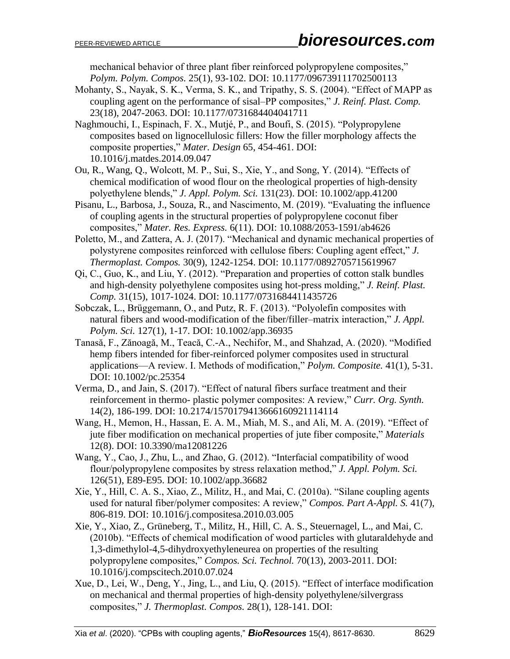mechanical behavior of three plant fiber reinforced polypropylene composites," *Polym. Polym. Compos.* 25(1), 93-102. DOI: 10.1177/096739111702500113

- Mohanty, S., Nayak, S. K., Verma, S. K., and Tripathy, S. S. (2004). "Effect of MAPP as coupling agent on the performance of sisal–PP composites," *J. Reinf. Plast. Comp.* 23(18), 2047-2063. DOI: 10.1177/0731684404041711
- Naghmouchi, I., Espinach, F. X., Mutjé, P., and Boufi, S. (2015). "Polypropylene composites based on lignocellulosic fillers: How the filler morphology affects the composite properties," *Mater. Design* 65, 454-461. DOI: 10.1016/j.matdes.2014.09.047
- Ou, R., Wang, Q., Wolcott, M. P., Sui, S., Xie, Y., and Song, Y. (2014). "Effects of chemical modification of wood flour on the rheological properties of high-density polyethylene blends," *J. Appl. Polym. Sci.* 131(23). DOI: 10.1002/app.41200
- Pisanu, L., Barbosa, J., Souza, R., and Nascimento, M. (2019). "Evaluating the influence of coupling agents in the structural properties of polypropylene coconut fiber composites," *Mater. Res. Express.* 6(11). DOI: 10.1088/2053-1591/ab4626
- Poletto, M., and Zattera, A. J. (2017). "Mechanical and dynamic mechanical properties of polystyrene composites reinforced with cellulose fibers: Coupling agent effect," *J. Thermoplast. Compos.* 30(9), 1242-1254. DOI: 10.1177/0892705715619967
- Qi, C., Guo, K., and Liu, Y. (2012). "Preparation and properties of cotton stalk bundles and high-density polyethylene composites using hot-press molding," *J. Reinf. Plast. Comp.* 31(15), 1017-1024. DOI: 10.1177/0731684411435726
- Sobczak, L., Brüggemann, O., and Putz, R. F. (2013). "Polyolefin composites with natural fibers and wood-modification of the fiber/filler–matrix interaction," *J. Appl. Polym. Sci.* 127(1), 1-17. DOI: 10.1002/app.36935
- Tanasă, F., Zănoagă, M., Teacă, C.-A., Nechifor, M., and Shahzad, A. (2020). "Modified hemp fibers intended for fiber-reinforced polymer composites used in structural applications—A review. I. Methods of modification," *Polym. Composite.* 41(1), 5-31. DOI: 10.1002/pc.25354
- Verma, D., and Jain, S. (2017). "Effect of natural fibers surface treatment and their reinforcement in thermo- plastic polymer composites: A review," *Curr. Org. Synth.* 14(2), 186-199. DOI: 10.2174/1570179413666160921114114
- Wang, H., Memon, H., Hassan, E. A. M., Miah, M. S., and Ali, M. A. (2019). "Effect of jute fiber modification on mechanical properties of jute fiber composite," *Materials* 12(8). DOI: 10.3390/ma12081226
- Wang, Y., Cao, J., Zhu, L., and Zhao, G. (2012). "Interfacial compatibility of wood flour/polypropylene composites by stress relaxation method," *J. Appl. Polym. Sci.* 126(51), E89-E95. DOI: 10.1002/app.36682
- Xie, Y., Hill, C. A. S., Xiao, Z., Militz, H., and Mai, C. (2010a). "Silane coupling agents used for natural fiber/polymer composites: A review," *Compos. Part A-Appl. S.* 41(7), 806-819. DOI: 10.1016/j.compositesa.2010.03.005
- Xie, Y., Xiao, Z., Grüneberg, T., Militz, H., Hill, C. A. S., Steuernagel, L., and Mai, C. (2010b). "Effects of chemical modification of wood particles with glutaraldehyde and 1,3-dimethylol-4,5-dihydroxyethyleneurea on properties of the resulting polypropylene composites," *Compos. Sci. Technol.* 70(13), 2003-2011. DOI: 10.1016/j.compscitech.2010.07.024
- Xue, D., Lei, W., Deng, Y., Jing, L., and Liu, Q. (2015). "Effect of interface modification on mechanical and thermal properties of high-density polyethylene/silvergrass composites," *J. Thermoplast. Compos.* 28(1), 128-141. DOI: